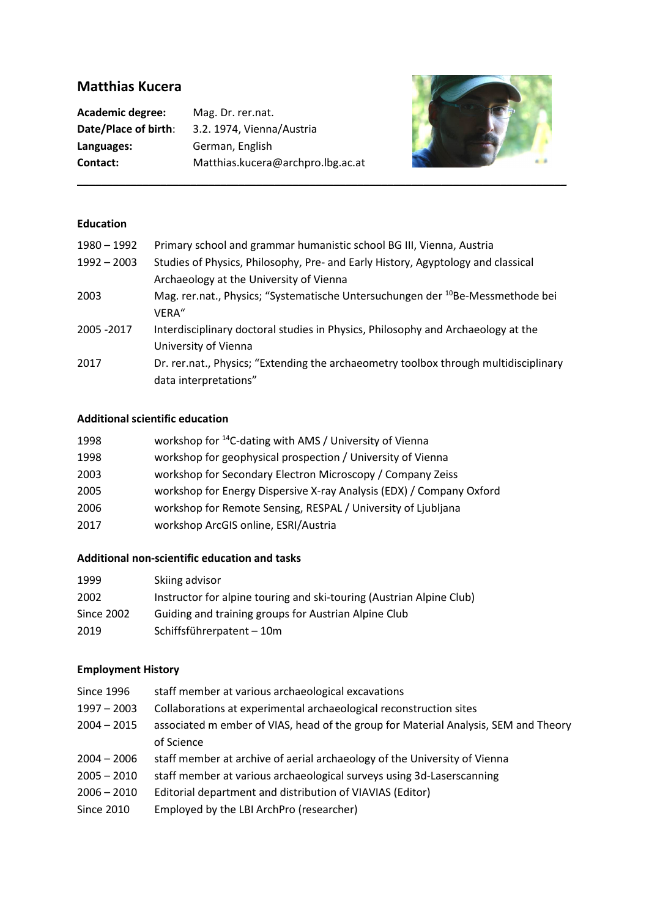# **Matthias Kucera**

**Academic degree:** Mag. Dr. rer.nat. **Languages:** German, English

**Date/Place of birth**: 3.2. 1974, Vienna/Austria **Contact:** Matthias.kucera@archpro.lbg.ac.at



### **Education**

| 1980 - 1992   | Primary school and grammar humanistic school BG III, Vienna, Austria                       |
|---------------|--------------------------------------------------------------------------------------------|
| $1992 - 2003$ | Studies of Physics, Philosophy, Pre- and Early History, Agyptology and classical           |
|               | Archaeology at the University of Vienna                                                    |
| 2003          | Mag. rer.nat., Physics; "Systematische Untersuchungen der <sup>10</sup> Be-Messmethode bei |
|               | VERA"                                                                                      |
| 2005 - 2017   | Interdisciplinary doctoral studies in Physics, Philosophy and Archaeology at the           |
|               | University of Vienna                                                                       |
| 2017          | Dr. rer.nat., Physics; "Extending the archaeometry toolbox through multidisciplinary       |
|               | data interpretations"                                                                      |

#### **Additional scientific education**

| 1998 | workshop for <sup>14</sup> C-dating with AMS / University of Vienna  |
|------|----------------------------------------------------------------------|
| 1998 | workshop for geophysical prospection / University of Vienna          |
| 2003 | workshop for Secondary Electron Microscopy / Company Zeiss           |
| 2005 | workshop for Energy Dispersive X-ray Analysis (EDX) / Company Oxford |
| 2006 | workshop for Remote Sensing, RESPAL / University of Ljubljana        |
| 2017 | workshop ArcGIS online, ESRI/Austria                                 |

#### **Additional non-scientific education and tasks**

| 1999       | Skiing advisor                                                       |
|------------|----------------------------------------------------------------------|
| 2002       | Instructor for alpine touring and ski-touring (Austrian Alpine Club) |
| Since 2002 | Guiding and training groups for Austrian Alpine Club                 |
| 2019       | Schiffsführerpatent - 10m                                            |

#### **Employment History**

Since 1996 staff member at various archaeological excavations 1997 – 2003 Collaborations at experimental archaeological reconstruction sites 2004 – 2015 associated m ember of VIAS, head of the group for Material Analysis, SEM and Theory of Science 2004 – 2006 staff member at archive of aerial archaeology of the University of Vienna 2005 – 2010 staff member at various archaeological surveys using 3d-Laserscanning 2006 – 2010 Editorial department and distribution of VIAVIAS (Editor) Since 2010 Employed by the LBI ArchPro (researcher)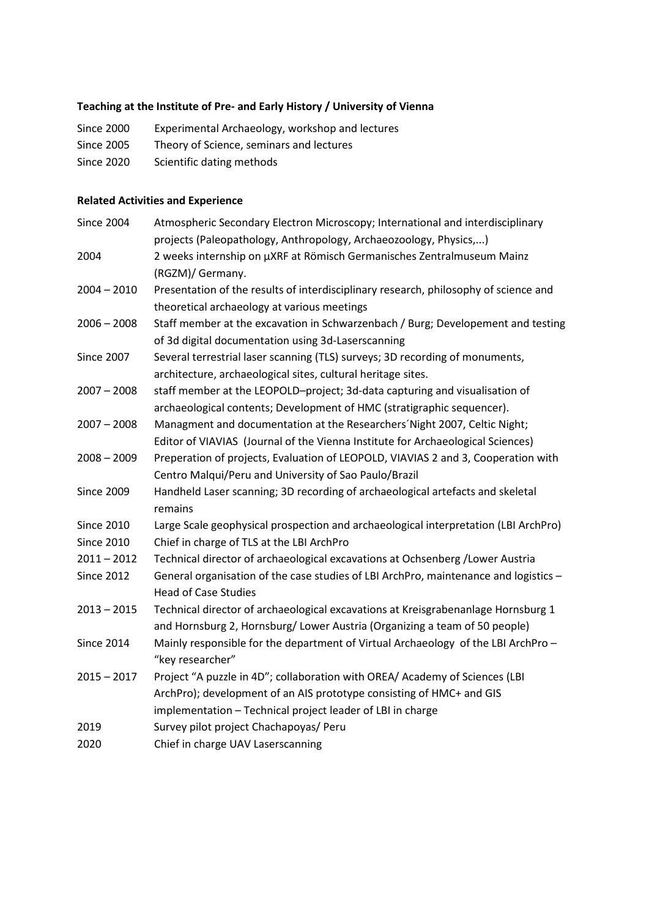## **Teaching at the Institute of Pre- and Early History / University of Vienna**

Since 2000 Experimental Archaeology, workshop and lectures Since 2005 Theory of Science, seminars and lectures Since 2020 Scientific dating methods

# **Related Activities and Experience**

| <b>Since 2004</b> | Atmospheric Secondary Electron Microscopy; International and interdisciplinary       |
|-------------------|--------------------------------------------------------------------------------------|
|                   | projects (Paleopathology, Anthropology, Archaeozoology, Physics,)                    |
| 2004              | 2 weeks internship on µXRF at Römisch Germanisches Zentralmuseum Mainz               |
|                   | (RGZM)/ Germany.                                                                     |
| $2004 - 2010$     | Presentation of the results of interdisciplinary research, philosophy of science and |
|                   | theoretical archaeology at various meetings                                          |
| $2006 - 2008$     | Staff member at the excavation in Schwarzenbach / Burg; Developement and testing     |
|                   | of 3d digital documentation using 3d-Laserscanning                                   |
| <b>Since 2007</b> | Several terrestrial laser scanning (TLS) surveys; 3D recording of monuments,         |
|                   | architecture, archaeological sites, cultural heritage sites.                         |
| $2007 - 2008$     | staff member at the LEOPOLD-project; 3d-data capturing and visualisation of          |
|                   | archaeological contents; Development of HMC (stratigraphic sequencer).               |
| $2007 - 2008$     | Managment and documentation at the Researchers' Night 2007, Celtic Night;            |
|                   | Editor of VIAVIAS (Journal of the Vienna Institute for Archaeological Sciences)      |
| $2008 - 2009$     | Preperation of projects, Evaluation of LEOPOLD, VIAVIAS 2 and 3, Cooperation with    |
|                   | Centro Malqui/Peru and University of Sao Paulo/Brazil                                |
| <b>Since 2009</b> | Handheld Laser scanning; 3D recording of archaeological artefacts and skeletal       |
|                   | remains                                                                              |
| <b>Since 2010</b> | Large Scale geophysical prospection and archaeological interpretation (LBI ArchPro)  |
| <b>Since 2010</b> | Chief in charge of TLS at the LBI ArchPro                                            |
| $2011 - 2012$     | Technical director of archaeological excavations at Ochsenberg / Lower Austria       |
| <b>Since 2012</b> | General organisation of the case studies of LBI ArchPro, maintenance and logistics - |
|                   | <b>Head of Case Studies</b>                                                          |
| $2013 - 2015$     | Technical director of archaeological excavations at Kreisgrabenanlage Hornsburg 1    |
|                   | and Hornsburg 2, Hornsburg/ Lower Austria (Organizing a team of 50 people)           |
| <b>Since 2014</b> | Mainly responsible for the department of Virtual Archaeology of the LBI ArchPro -    |
|                   | "key researcher"                                                                     |
| $2015 - 2017$     | Project "A puzzle in 4D"; collaboration with OREA/ Academy of Sciences (LBI          |
|                   | ArchPro); development of an AIS prototype consisting of HMC+ and GIS                 |
|                   | implementation - Technical project leader of LBI in charge                           |
| 2019              | Survey pilot project Chachapoyas/ Peru                                               |
| 2020              | Chief in charge UAV Laserscanning                                                    |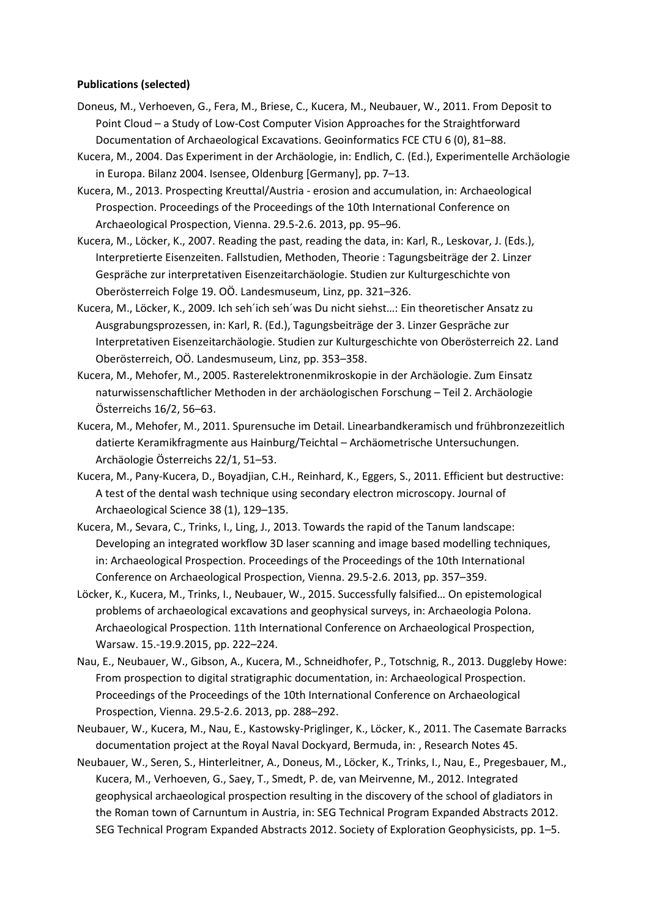#### **Publications (selected)**

- Doneus, M., Verhoeven, G., Fera, M., Briese, C., Kucera, M., Neubauer, W., 2011. From Deposit to Point Cloud – a Study of Low-Cost Computer Vision Approaches for the Straightforward Documentation of Archaeological Excavations. Geoinformatics FCE CTU 6 (0), 81–88.
- Kucera, M., 2004. Das Experiment in der Archäologie, in: Endlich, C. (Ed.), Experimentelle Archäologie in Europa. Bilanz 2004. Isensee, Oldenburg [Germany], pp. 7–13.
- Kucera, M., 2013. Prospecting Kreuttal/Austria erosion and accumulation, in: Archaeological Prospection. Proceedings of the Proceedings of the 10th International Conference on Archaeological Prospection, Vienna. 29.5-2.6. 2013, pp. 95–96.
- Kucera, M., Löcker, K., 2007. Reading the past, reading the data, in: Karl, R., Leskovar, J. (Eds.), Interpretierte Eisenzeiten. Fallstudien, Methoden, Theorie : Tagungsbeiträge der 2. Linzer Gespräche zur interpretativen Eisenzeitarchäologie. Studien zur Kulturgeschichte von Oberösterreich Folge 19. OÖ. Landesmuseum, Linz, pp. 321–326.
- Kucera, M., Löcker, K., 2009. Ich seh´ich seh´was Du nicht siehst…: Ein theoretischer Ansatz zu Ausgrabungsprozessen, in: Karl, R. (Ed.), Tagungsbeiträge der 3. Linzer Gespräche zur Interpretativen Eisenzeitarchäologie. Studien zur Kulturgeschichte von Oberösterreich 22. Land Oberösterreich, OÖ. Landesmuseum, Linz, pp. 353–358.
- Kucera, M., Mehofer, M., 2005. Rasterelektronenmikroskopie in der Archäologie. Zum Einsatz naturwissenschaftlicher Methoden in der archäologischen Forschung – Teil 2. Archäologie Österreichs 16/2, 56–63.
- Kucera, M., Mehofer, M., 2011. Spurensuche im Detail. Linearbandkeramisch und frühbronzezeitlich datierte Keramikfragmente aus Hainburg/Teichtal – Archäometrische Untersuchungen. Archäologie Österreichs 22/1, 51–53.
- Kucera, M., Pany-Kucera, D., Boyadjian, C.H., Reinhard, K., Eggers, S., 2011. Efficient but destructive: A test of the dental wash technique using secondary electron microscopy. Journal of Archaeological Science 38 (1), 129–135.
- Kucera, M., Sevara, C., Trinks, I., Ling, J., 2013. Towards the rapid of the Tanum landscape: Developing an integrated workflow 3D laser scanning and image based modelling techniques, in: Archaeological Prospection. Proceedings of the Proceedings of the 10th International Conference on Archaeological Prospection, Vienna. 29.5-2.6. 2013, pp. 357–359.
- Löcker, K., Kucera, M., Trinks, I., Neubauer, W., 2015. Successfully falsified… On epistemological problems of archaeological excavations and geophysical surveys, in: Archaeologia Polona. Archaeological Prospection. 11th International Conference on Archaeological Prospection, Warsaw. 15.-19.9.2015, pp. 222–224.
- Nau, E., Neubauer, W., Gibson, A., Kucera, M., Schneidhofer, P., Totschnig, R., 2013. Duggleby Howe: From prospection to digital stratigraphic documentation, in: Archaeological Prospection. Proceedings of the Proceedings of the 10th International Conference on Archaeological Prospection, Vienna. 29.5-2.6. 2013, pp. 288–292.
- Neubauer, W., Kucera, M., Nau, E., Kastowsky-Priglinger, K., Löcker, K., 2011. The Casemate Barracks documentation project at the Royal Naval Dockyard, Bermuda, in: , Research Notes 45.
- Neubauer, W., Seren, S., Hinterleitner, A., Doneus, M., Löcker, K., Trinks, I., Nau, E., Pregesbauer, M., Kucera, M., Verhoeven, G., Saey, T., Smedt, P. de, van Meirvenne, M., 2012. Integrated geophysical archaeological prospection resulting in the discovery of the school of gladiators in the Roman town of Carnuntum in Austria, in: SEG Technical Program Expanded Abstracts 2012. SEG Technical Program Expanded Abstracts 2012. Society of Exploration Geophysicists, pp. 1–5.